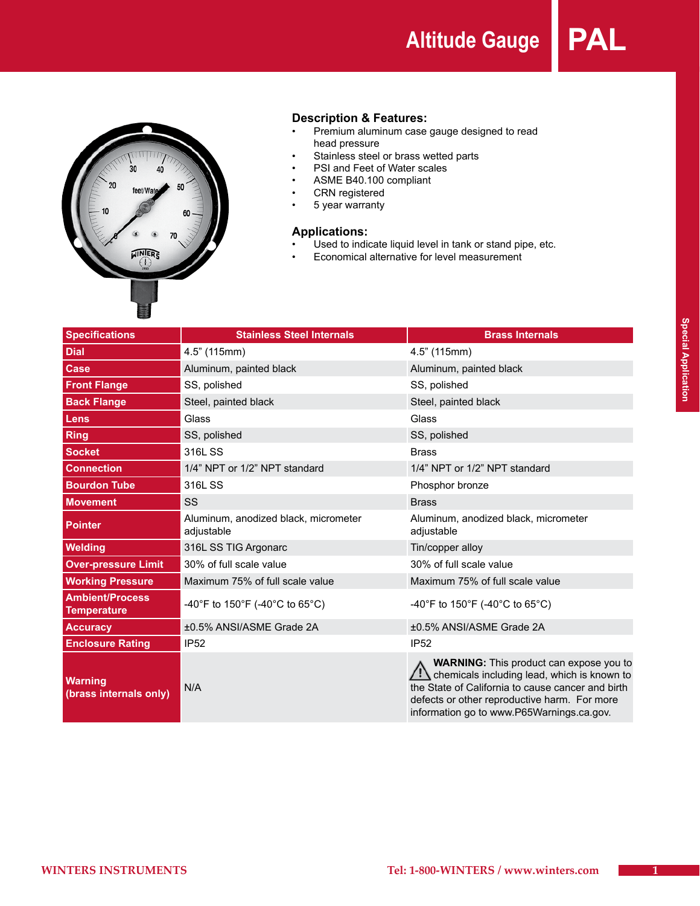**Altitude Gauge PAL**



# **Description & Features:**<br>• **Premium aluminum case**

- Premium aluminum case gauge designed to read head pressure
- • Stainless steel or brass wetted parts
- • PSI and Feet of Water scales
- • ASME B40.100 compliant
- • CRN registered
- • 5 year warranty

#### **Applications:**

- Used to indicate liquid level in tank or stand pipe, etc.
- • Economical alternative for level measurement

| <b>Specifications</b>                        | <b>Stainless Steel Internals</b>                   | <b>Brass Internals</b>                                                                                                                                                                                                                                          |
|----------------------------------------------|----------------------------------------------------|-----------------------------------------------------------------------------------------------------------------------------------------------------------------------------------------------------------------------------------------------------------------|
| <b>Dial</b>                                  | 4.5" (115mm)                                       | 4.5" (115mm)                                                                                                                                                                                                                                                    |
| <b>Case</b>                                  | Aluminum, painted black                            | Aluminum, painted black                                                                                                                                                                                                                                         |
| <b>Front Flange</b>                          | SS, polished                                       | SS, polished                                                                                                                                                                                                                                                    |
| <b>Back Flange</b>                           | Steel, painted black                               | Steel, painted black                                                                                                                                                                                                                                            |
| Lens                                         | Glass                                              | Glass                                                                                                                                                                                                                                                           |
| <b>Ring</b>                                  | SS, polished                                       | SS, polished                                                                                                                                                                                                                                                    |
| <b>Socket</b>                                | 316L SS                                            | <b>Brass</b>                                                                                                                                                                                                                                                    |
| <b>Connection</b>                            | 1/4" NPT or 1/2" NPT standard                      | 1/4" NPT or 1/2" NPT standard                                                                                                                                                                                                                                   |
| <b>Bourdon Tube</b>                          | 316L SS                                            | Phosphor bronze                                                                                                                                                                                                                                                 |
| <b>Movement</b>                              | SS                                                 | <b>Brass</b>                                                                                                                                                                                                                                                    |
| <b>Pointer</b>                               | Aluminum, anodized black, micrometer<br>adjustable | Aluminum, anodized black, micrometer<br>adjustable                                                                                                                                                                                                              |
| Welding                                      | 316L SS TIG Argonarc                               | Tin/copper alloy                                                                                                                                                                                                                                                |
| <b>Over-pressure Limit</b>                   | 30% of full scale value                            | 30% of full scale value                                                                                                                                                                                                                                         |
| <b>Working Pressure</b>                      | Maximum 75% of full scale value                    | Maximum 75% of full scale value                                                                                                                                                                                                                                 |
| <b>Ambient/Process</b><br><b>Temperature</b> | -40°F to 150°F (-40°C to 65°C)                     | -40°F to 150°F (-40°C to 65°C)                                                                                                                                                                                                                                  |
| <b>Accuracy</b>                              | ±0.5% ANSI/ASME Grade 2A                           | ±0.5% ANSI/ASME Grade 2A                                                                                                                                                                                                                                        |
| <b>Enclosure Rating</b>                      | <b>IP52</b>                                        | <b>IP52</b>                                                                                                                                                                                                                                                     |
| <b>Warning</b><br>(brass internals only)     | N/A                                                | <b>WARNING:</b> This product can expose you to<br>$\mathcal{I}$ : chemicals including lead, which is known to<br>the State of California to cause cancer and birth<br>defects or other reproductive harm. For more<br>information go to www.P65Warnings.ca.gov. |